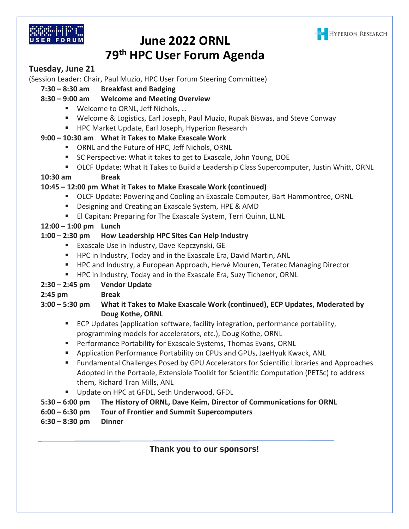



# **June 2022 ORNL 79th HPC User Forum Agenda**

## **Tuesday, June 21**

(Session Leader: Chair, Paul Muzio, HPC User Forum Steering Committee)

**7:30 – 8:30 am Breakfast and Badging**

## **8:30 – 9:00 am Welcome and Meeting Overview**

- Welcome to ORNL, Jeff Nichols, ...
- Welcome & Logistics, Earl Joseph, Paul Muzio, Rupak Biswas, and Steve Conway
- HPC Market Update, Earl Joseph, Hyperion Research

#### **9:00 – 10:30 am What it Takes to Make Exascale Work**

- ORNL and the Future of HPC, Jeff Nichols, ORNL
- SC Perspective: What it takes to get to Exascale, John Young, DOE
- OLCF Update: What It Takes to Build a Leadership Class Supercomputer, Justin Whitt, ORNL

#### **10:30 am Break**

#### **10:45 – 12:00 pm What it Takes to Make Exascale Work (continued)**

- OLCF Update: Powering and Cooling an Exascale Computer, Bart Hammontree, ORNL
- Designing and Creating an Exascale System, HPE & AMD
- **EL Capitan: Preparing for The Exascale System, Terri Quinn, LLNL**

#### **12:00 – 1:00 pm Lunch**

#### **1:00 – 2:30 pm How Leadership HPC Sites Can Help Industry**

- Exascale Use in Industry, Dave Kepczynski, GE
- HPC in Industry, Today and in the Exascale Era, David Martin, ANL
- HPC and Industry, a European Approach, Hervé Mouren, Teratec Managing Director
- HPC in Industry, Today and in the Exascale Era, Suzy Tichenor, ORNL

## **2:30 – 2:45 pm Vendor Update**

**2:45 pm Break**

#### **3:00 – 5:30 pm What it Takes to Make Exascale Work (continued), ECP Updates, Moderated by Doug Kothe, ORNL**

- ECP Updates (application software, facility integration, performance portability, programming models for accelerators, etc.), Doug Kothe, ORNL
- Performance Portability for Exascale Systems, Thomas Evans, ORNL
- Application Performance Portability on CPUs and GPUs, JaeHyuk Kwack, ANL
- Fundamental Challenges Posed by GPU Accelerators for Scientific Libraries and Approaches Adopted in the Portable, Extensible Toolkit for Scientific Computation (PETSc) to address them, Richard Tran Mills, ANL
- Update on HPC at GFDL, Seth Underwood, GFDL
- **5:30 – 6:00 pm The History of ORNL, Dave Keim, Director of Communications for ORNL**
- **6:00 – 6:30 pm Tour of Frontier and Summit Supercomputers**
- **6:30 – 8:30 pm Dinner**

**Thank you to our sponsors!**